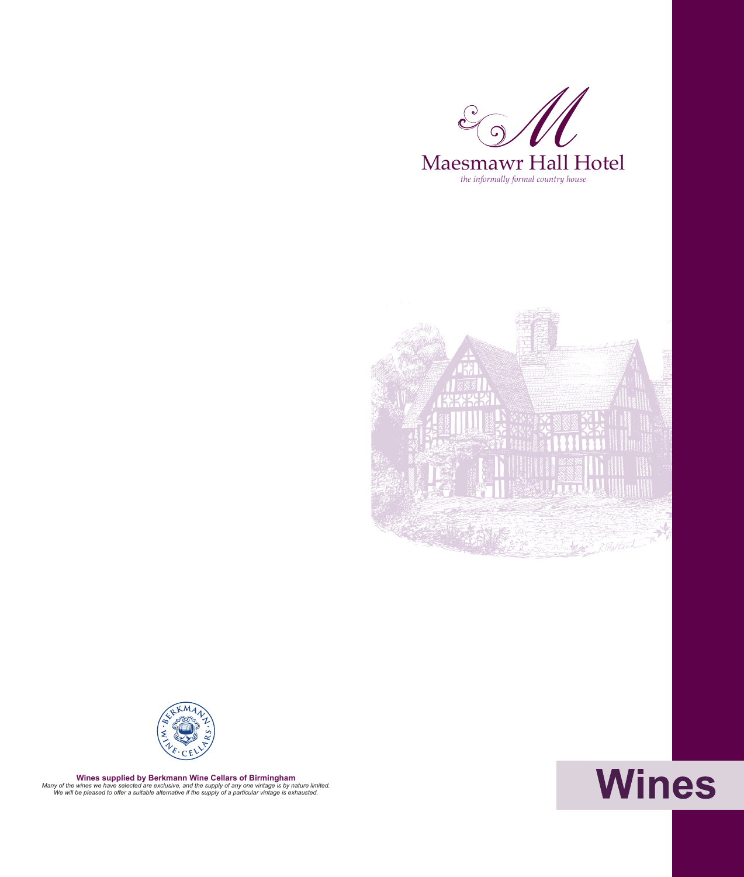





**Wines supplied by Berkmann Wine Cellars of Birmingham** *Many of the wines we have selected are exclusive, and the supply of any one vintage is by nature limited. We will be pleased to offer a suitable alternative if the supply of a particular vintage is exhausted.*

## Wines